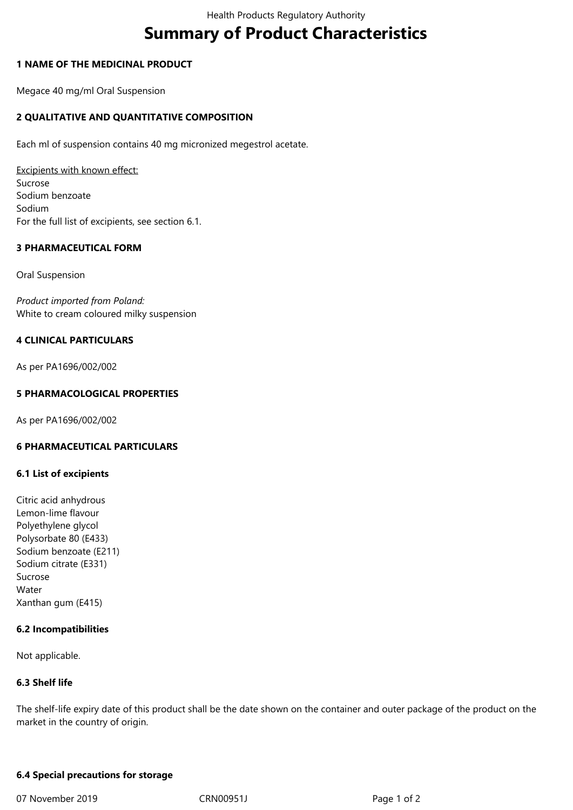# **Summary of Product Characteristics**

# **1 NAME OF THE MEDICINAL PRODUCT**

Megace 40 mg/ml Oral Suspension

# **2 QUALITATIVE AND QUANTITATIVE COMPOSITION**

Each ml of suspension contains 40 mg micronized megestrol acetate.

Excipients with known effect: Sucrose Sodium benzoate Sodium For the full list of excipients, see section 6.1.

#### **3 PHARMACEUTICAL FORM**

Oral Suspension

*Product imported from Poland:* White to cream coloured milky suspension

# **4 CLINICAL PARTICULARS**

As per PA1696/002/002

#### **5 PHARMACOLOGICAL PROPERTIES**

As per PA1696/002/002

# **6 PHARMACEUTICAL PARTICULARS**

#### **6.1 List of excipients**

Citric acid anhydrous Lemon-lime flavour Polyethylene glycol Polysorbate 80 (E433) Sodium benzoate (E211) Sodium citrate (E331) Sucrose Water Xanthan gum (E415)

#### **6.2 Incompatibilities**

Not applicable.

#### **6.3 Shelf life**

The shelf-life expiry date of this product shall be the date shown on the container and outer package of the product on the market in the country of origin.

#### **6.4 Special precautions for storage**

07 November 2019 **CRN00951J** CRN00951J Page 1 of 2